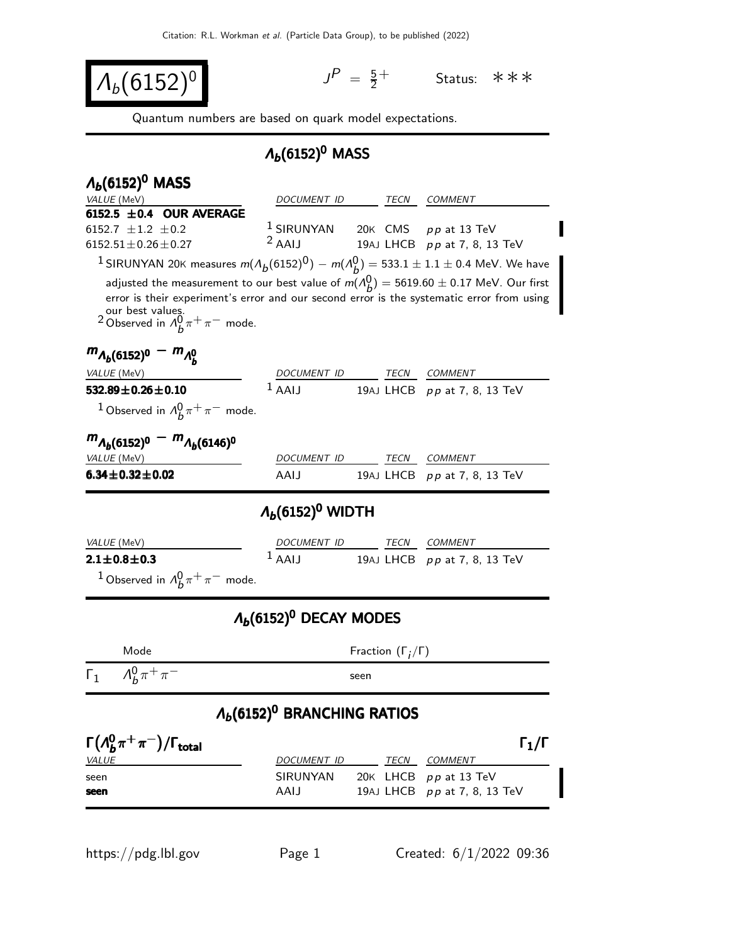$\Lambda_b(6152)^0$ 

 $P = \frac{5}{2}$ 2 <sup>+</sup> Status: ∗∗∗

Quantum numbers are based on quark model expectations.

## $Λ<sub>b</sub>(6152)<sup>0</sup>$  MASS

| $\Lambda_b(6152)^0$ MASS                                                                                                                                                                   |                                                 |      |                                |
|--------------------------------------------------------------------------------------------------------------------------------------------------------------------------------------------|-------------------------------------------------|------|--------------------------------|
| VALUE (MeV)                                                                                                                                                                                | DOCUMENT ID                                     | TECN | <i>COMMENT</i>                 |
| 6152.5 $\pm$ 0.4 OUR AVERAGE                                                                                                                                                               |                                                 |      |                                |
| 6152.7 $\pm$ 1.2 $\pm$ 0.2<br>$6152.51 \pm 0.26 \pm 0.27$                                                                                                                                  | $1$ SIRUNYAN 20K CMS $pp$ at 13 TeV<br>$2$ AAIJ |      | 19AJ LHCB pp at 7, 8, 13 TeV   |
|                                                                                                                                                                                            |                                                 |      |                                |
| <sup>1</sup> SIRUNYAN 20K measures $m(A_b(6152)^0) - m(A_b^0) = 533.1 \pm 1.1 \pm 0.4$ MeV. We have                                                                                        |                                                 |      |                                |
| adjusted the measurement to our best value of $m(\Lambda_b^0)=5619.60\pm 0.17$ MeV. Our first<br>error is their experiment's error and our second error is the systematic error from using |                                                 |      |                                |
| our best values.<br><sup>2</sup> Observed in $A_b^0 \pi^+ \pi^-$ mode.                                                                                                                     |                                                 |      |                                |
| $m_{A_b(6152)^0} - m_{A_b^0}$                                                                                                                                                              |                                                 |      |                                |
| <i>VALUE</i> (MeV)                                                                                                                                                                         | DOCUMENT ID                                     | TECN | <b>COMMENT</b>                 |
| 532.89 $\pm$ 0.26 $\pm$ 0.10                                                                                                                                                               | $1$ AALI                                        |      | 19AJ LHCB $pp$ at 7, 8, 13 TeV |
| <sup>1</sup> Observed in $\Lambda_h^0 \pi^+ \pi^-$ mode.                                                                                                                                   |                                                 |      |                                |
| $m_{A_b(6152)^0} - m_{A_b(6146)^0}$                                                                                                                                                        |                                                 |      |                                |
| <i>VALUE</i> (MeV)                                                                                                                                                                         | DOCUMENT ID                                     | TECN | <b>COMMENT</b>                 |
| $6.34 \pm 0.32 \pm 0.02$                                                                                                                                                                   | AAIJ                                            |      | 19AJ LHCB pp at 7, 8, 13 TeV   |
| $\Lambda_b(6152)^0$ WIDTH                                                                                                                                                                  |                                                 |      |                                |
| <i>VALUE</i> (MeV)                                                                                                                                                                         | DOCUMENT ID                                     | TECN | <i>COMMENT</i>                 |
| $2.1 \pm 0.8 \pm 0.3$                                                                                                                                                                      | $1$ AALL                                        |      | 19AJ LHCB pp at 7, 8, 13 TeV   |
| <sup>1</sup> Observed in $\Lambda_h^0 \pi^+ \pi^-$ mode.                                                                                                                                   |                                                 |      |                                |
| $\Lambda_b(6152)^0$ DECAY MODES                                                                                                                                                            |                                                 |      |                                |
| Mode                                                                                                                                                                                       | Fraction $(\Gamma_i/\Gamma)$                    |      |                                |
| $\Lambda_h^0 \pi^+ \pi^-$<br>$\mathsf{L}_1$                                                                                                                                                |                                                 | seen |                                |
| $\Lambda_b(6152)^0$ BRANCHING RATIOS                                                                                                                                                       |                                                 |      |                                |
| $\Gamma(\Lambda_h^0\pi^+\pi^-)/\Gamma_{\rm total}$                                                                                                                                         |                                                 |      | $\Gamma_1/\Gamma$              |
| <b>VALUE</b>                                                                                                                                                                               | DOCUMENT ID TECN COMMENT                        |      |                                |
| seen                                                                                                                                                                                       | SIRUNYAN                                        |      | 20K LHCB pp at 13 TeV          |
| seen                                                                                                                                                                                       | AAIJ                                            |      | 19AJ LHCB $pp$ at 7, 8, 13 TeV |
|                                                                                                                                                                                            |                                                 |      |                                |
| https://pdg.lbl.gov                                                                                                                                                                        | Page 1                                          |      | Created: $6/1/2022$ 09:36      |